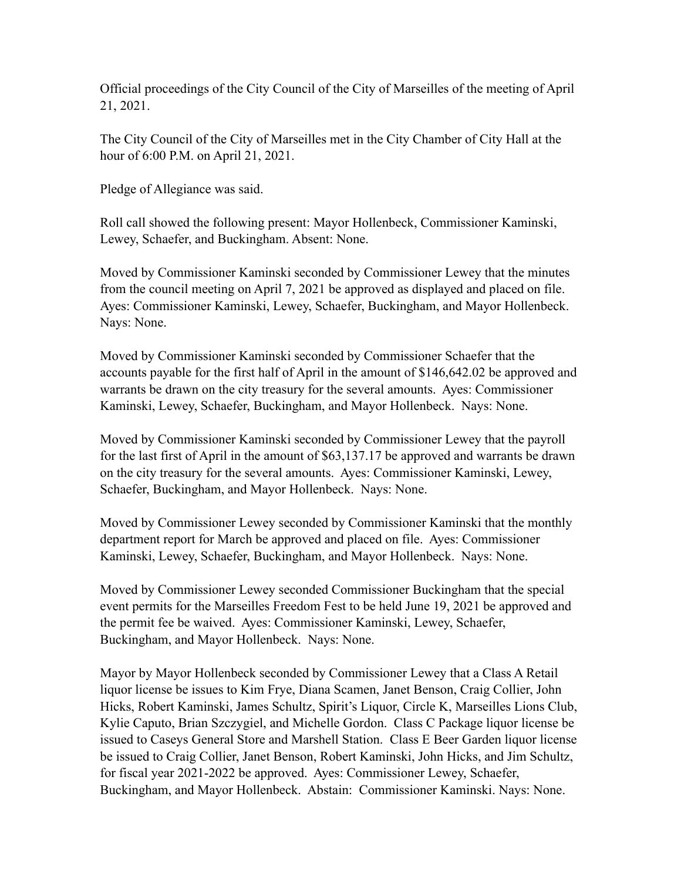Official proceedings of the City Council of the City of Marseilles of the meeting of April 21, 2021.

The City Council of the City of Marseilles met in the City Chamber of City Hall at the hour of 6:00 P.M. on April 21, 2021.

Pledge of Allegiance was said.

Roll call showed the following present: Mayor Hollenbeck, Commissioner Kaminski, Lewey, Schaefer, and Buckingham. Absent: None.

Moved by Commissioner Kaminski seconded by Commissioner Lewey that the minutes from the council meeting on April 7, 2021 be approved as displayed and placed on file. Ayes: Commissioner Kaminski, Lewey, Schaefer, Buckingham, and Mayor Hollenbeck. Nays: None.

Moved by Commissioner Kaminski seconded by Commissioner Schaefer that the accounts payable for the first half of April in the amount of \$146,642.02 be approved and warrants be drawn on the city treasury for the several amounts. Ayes: Commissioner Kaminski, Lewey, Schaefer, Buckingham, and Mayor Hollenbeck. Nays: None.

Moved by Commissioner Kaminski seconded by Commissioner Lewey that the payroll for the last first of April in the amount of \$63,137.17 be approved and warrants be drawn on the city treasury for the several amounts. Ayes: Commissioner Kaminski, Lewey, Schaefer, Buckingham, and Mayor Hollenbeck. Nays: None.

Moved by Commissioner Lewey seconded by Commissioner Kaminski that the monthly department report for March be approved and placed on file. Ayes: Commissioner Kaminski, Lewey, Schaefer, Buckingham, and Mayor Hollenbeck. Nays: None.

Moved by Commissioner Lewey seconded Commissioner Buckingham that the special event permits for the Marseilles Freedom Fest to be held June 19, 2021 be approved and the permit fee be waived. Ayes: Commissioner Kaminski, Lewey, Schaefer, Buckingham, and Mayor Hollenbeck. Nays: None.

Mayor by Mayor Hollenbeck seconded by Commissioner Lewey that a Class A Retail liquor license be issues to Kim Frye, Diana Scamen, Janet Benson, Craig Collier, John Hicks, Robert Kaminski, James Schultz, Spirit's Liquor, Circle K, Marseilles Lions Club, Kylie Caputo, Brian Szczygiel, and Michelle Gordon. Class C Package liquor license be issued to Caseys General Store and Marshell Station. Class E Beer Garden liquor license be issued to Craig Collier, Janet Benson, Robert Kaminski, John Hicks, and Jim Schultz, for fiscal year 2021-2022 be approved. Ayes: Commissioner Lewey, Schaefer, Buckingham, and Mayor Hollenbeck. Abstain: Commissioner Kaminski. Nays: None.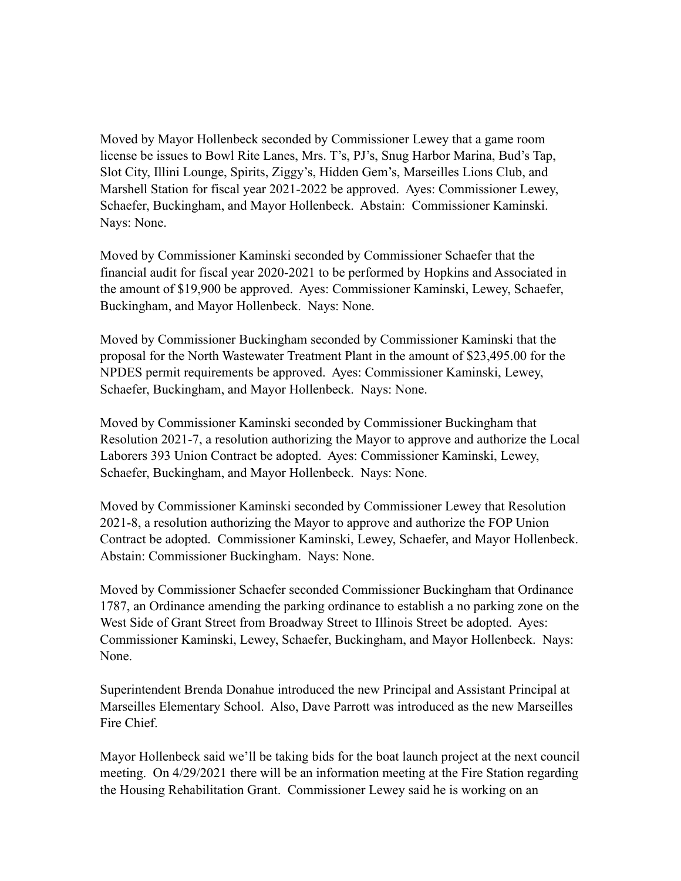Moved by Mayor Hollenbeck seconded by Commissioner Lewey that a game room license be issues to Bowl Rite Lanes, Mrs. T's, PJ's, Snug Harbor Marina, Bud's Tap, Slot City, Illini Lounge, Spirits, Ziggy's, Hidden Gem's, Marseilles Lions Club, and Marshell Station for fiscal year 2021-2022 be approved. Ayes: Commissioner Lewey, Schaefer, Buckingham, and Mayor Hollenbeck. Abstain: Commissioner Kaminski. Nays: None.

Moved by Commissioner Kaminski seconded by Commissioner Schaefer that the financial audit for fiscal year 2020-2021 to be performed by Hopkins and Associated in the amount of \$19,900 be approved. Ayes: Commissioner Kaminski, Lewey, Schaefer, Buckingham, and Mayor Hollenbeck. Nays: None.

Moved by Commissioner Buckingham seconded by Commissioner Kaminski that the proposal for the North Wastewater Treatment Plant in the amount of \$23,495.00 for the NPDES permit requirements be approved. Ayes: Commissioner Kaminski, Lewey, Schaefer, Buckingham, and Mayor Hollenbeck. Nays: None.

Moved by Commissioner Kaminski seconded by Commissioner Buckingham that Resolution 2021-7, a resolution authorizing the Mayor to approve and authorize the Local Laborers 393 Union Contract be adopted. Ayes: Commissioner Kaminski, Lewey, Schaefer, Buckingham, and Mayor Hollenbeck. Nays: None.

Moved by Commissioner Kaminski seconded by Commissioner Lewey that Resolution 2021-8, a resolution authorizing the Mayor to approve and authorize the FOP Union Contract be adopted. Commissioner Kaminski, Lewey, Schaefer, and Mayor Hollenbeck. Abstain: Commissioner Buckingham. Nays: None.

Moved by Commissioner Schaefer seconded Commissioner Buckingham that Ordinance 1787, an Ordinance amending the parking ordinance to establish a no parking zone on the West Side of Grant Street from Broadway Street to Illinois Street be adopted. Ayes: Commissioner Kaminski, Lewey, Schaefer, Buckingham, and Mayor Hollenbeck. Nays: None.

Superintendent Brenda Donahue introduced the new Principal and Assistant Principal at Marseilles Elementary School. Also, Dave Parrott was introduced as the new Marseilles Fire Chief.

Mayor Hollenbeck said we'll be taking bids for the boat launch project at the next council meeting. On 4/29/2021 there will be an information meeting at the Fire Station regarding the Housing Rehabilitation Grant. Commissioner Lewey said he is working on an